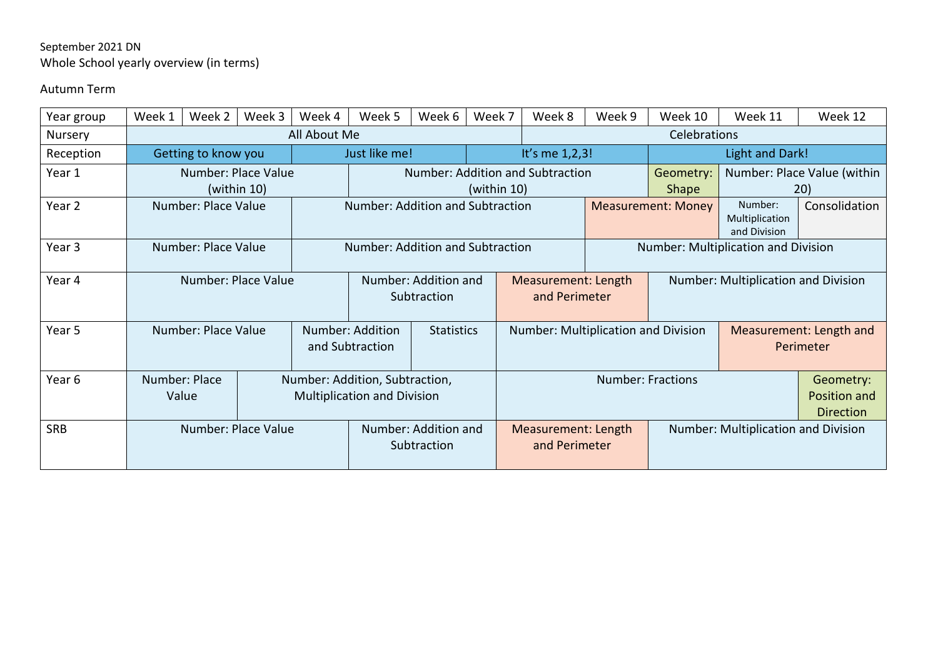## September 2021 DN Whole School yearly overview (in terms)

## Autumn Term

| Year group        | Week 1              | Week 2              | Week 3           | Week 4                              | Week 5                              | Week 6 | Week 7                               | Week 8                               | Week 9                                     | Week 10                                  | Week 11                                   | Week 12       |  |  |
|-------------------|---------------------|---------------------|------------------|-------------------------------------|-------------------------------------|--------|--------------------------------------|--------------------------------------|--------------------------------------------|------------------------------------------|-------------------------------------------|---------------|--|--|
| <b>Nursery</b>    |                     |                     |                  | All About Me                        |                                     |        |                                      | Celebrations                         |                                            |                                          |                                           |               |  |  |
| Reception         |                     | Getting to know you |                  | Just like me!                       |                                     |        |                                      | It's me 1,2,3!                       |                                            | Light and Dark!                          |                                           |               |  |  |
| Year 1            | Number: Place Value |                     |                  |                                     | Number: Addition and Subtraction    |        |                                      |                                      |                                            | Number: Place Value (within<br>Geometry: |                                           |               |  |  |
|                   | (within 10)         |                     |                  |                                     | (within $10$ )                      |        |                                      |                                      |                                            | Shape                                    | 20)                                       |               |  |  |
| Year 2            | Number: Place Value |                     |                  |                                     | Number: Addition and Subtraction    |        |                                      | <b>Measurement: Money</b>            |                                            |                                          | Number:<br>Multiplication<br>and Division | Consolidation |  |  |
| Year <sub>3</sub> | Number: Place Value |                     |                  |                                     | Number: Addition and Subtraction    |        |                                      |                                      |                                            | Number: Multiplication and Division      |                                           |               |  |  |
| Year 4            | Number: Place Value |                     |                  |                                     | Number: Addition and<br>Subtraction |        |                                      | Measurement: Length<br>and Perimeter |                                            | Number: Multiplication and Division      |                                           |               |  |  |
|                   |                     |                     |                  |                                     |                                     |        |                                      |                                      |                                            |                                          |                                           |               |  |  |
| Year 5            | Number: Place Value |                     | Number: Addition |                                     | <b>Statistics</b>                   |        | Number: Multiplication and Division  |                                      |                                            | Measurement: Length and                  |                                           |               |  |  |
|                   |                     |                     |                  |                                     | and Subtraction                     |        |                                      |                                      |                                            |                                          |                                           | Perimeter     |  |  |
| Year 6            | Number: Place       |                     |                  |                                     | Number: Addition, Subtraction,      |        |                                      | <b>Number: Fractions</b>             |                                            |                                          |                                           | Geometry:     |  |  |
|                   | Value               |                     |                  | <b>Multiplication and Division</b>  |                                     |        |                                      |                                      |                                            |                                          | Position and                              |               |  |  |
|                   |                     |                     |                  |                                     |                                     |        |                                      |                                      |                                            |                                          | <b>Direction</b>                          |               |  |  |
| <b>SRB</b>        | Number: Place Value |                     |                  | Number: Addition and<br>Subtraction |                                     |        | Measurement: Length<br>and Perimeter |                                      | <b>Number: Multiplication and Division</b> |                                          |                                           |               |  |  |
|                   |                     |                     |                  |                                     |                                     |        |                                      |                                      |                                            |                                          |                                           |               |  |  |
|                   |                     |                     |                  |                                     |                                     |        |                                      |                                      |                                            |                                          |                                           |               |  |  |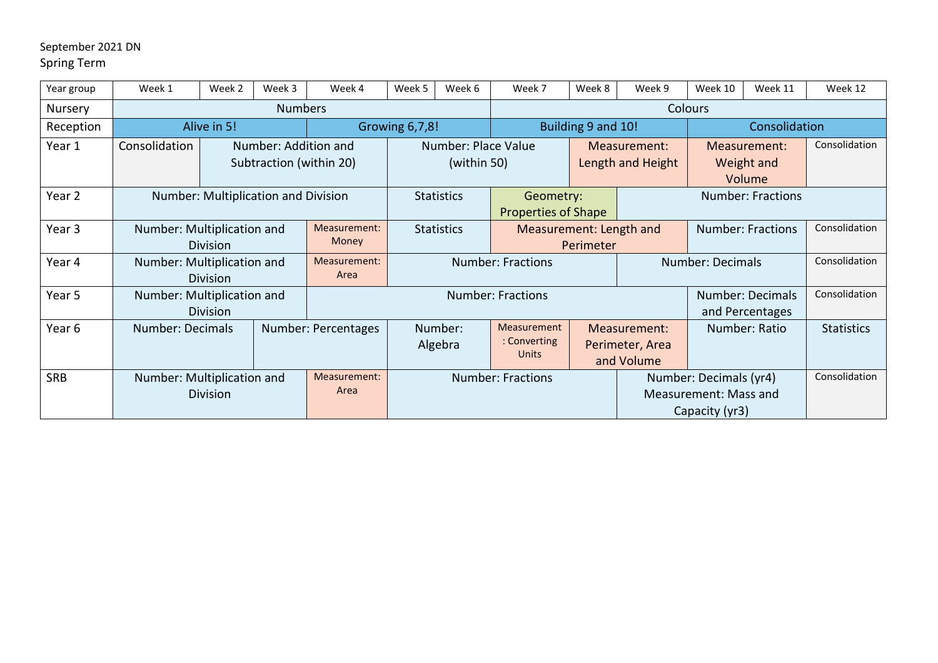## September 2021 DN Spring Term

| Year group        | Week 1                                        | Week 2                              | Week 3                                          | Week 4                | Week 5                                                       | Week 6                                      | Week 7                            | Week 8                                        | Week 9                                                            | Week 10                              | Week 11                                    | Week 12       |  |
|-------------------|-----------------------------------------------|-------------------------------------|-------------------------------------------------|-----------------------|--------------------------------------------------------------|---------------------------------------------|-----------------------------------|-----------------------------------------------|-------------------------------------------------------------------|--------------------------------------|--------------------------------------------|---------------|--|
| Nursery           |                                               |                                     | <b>Numbers</b>                                  |                       |                                                              |                                             | <b>Colours</b>                    |                                               |                                                                   |                                      |                                            |               |  |
| Reception         | Alive in 5!                                   | Growing 6,7,8!                      |                                                 |                       | Building 9 and 10!                                           |                                             |                                   | Consolidation                                 |                                                                   |                                      |                                            |               |  |
| Year 1            | Consolidation                                 |                                     | Number: Addition and<br>Subtraction (within 20) |                       |                                                              | Number: Place Value<br>(within 50)          | Measurement:<br>Length and Height |                                               |                                                                   | Measurement:<br>Weight and<br>Volume |                                            | Consolidation |  |
| Year <sub>2</sub> |                                               | Number: Multiplication and Division |                                                 |                       | <b>Statistics</b><br>Geometry:<br><b>Properties of Shape</b> |                                             |                                   |                                               |                                                                   |                                      |                                            |               |  |
| Year <sub>3</sub> | Number: Multiplication and                    | <b>Division</b>                     |                                                 | Measurement:<br>Money |                                                              | <b>Statistics</b>                           | Measurement: Length and           | Perimeter                                     | <b>Number: Fractions</b>                                          |                                      |                                            | Consolidation |  |
| Year 4            | Number: Multiplication and                    | <b>Division</b>                     |                                                 | Measurement:<br>Area  | <b>Number: Fractions</b>                                     |                                             |                                   |                                               |                                                                   | Number: Decimals                     |                                            | Consolidation |  |
| Year 5            | Number: Multiplication and                    | Division                            |                                                 |                       |                                                              |                                             | <b>Number: Fractions</b>          |                                               |                                                                   |                                      | <b>Number: Decimals</b><br>and Percentages | Consolidation |  |
| Year 6            | Number: Decimals                              |                                     | Number: Percentages                             | Number:<br>Algebra    |                                                              | <b>Measurement</b><br>: Converting<br>Units |                                   | Measurement:<br>Perimeter, Area<br>and Volume |                                                                   | Number: Ratio                        | <b>Statistics</b>                          |               |  |
| <b>SRB</b>        | Number: Multiplication and<br><b>Division</b> |                                     |                                                 | Measurement:<br>Area  | <b>Number: Fractions</b>                                     |                                             |                                   |                                               | Number: Decimals (yr4)<br>Measurement: Mass and<br>Capacity (yr3) |                                      |                                            | Consolidation |  |